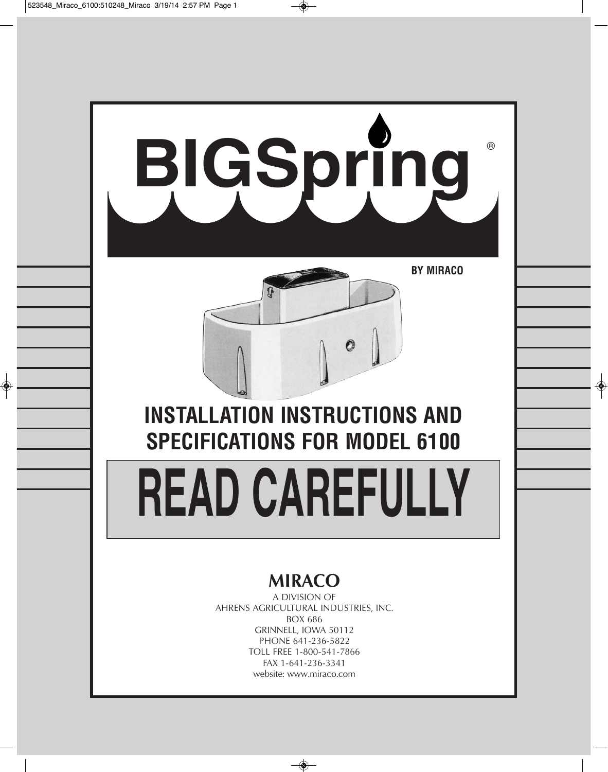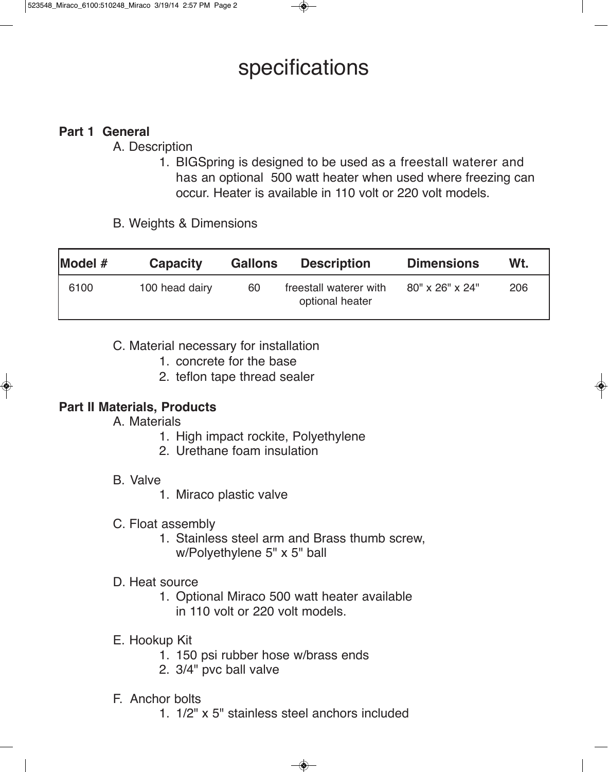# specifications

## **Part 1 General**

A. Description

- 1. BIGSpring is designed to be used as a freestall waterer and has an optional 500 watt heater when used where freezing can occur. Heater is available in 110 volt or 220 volt models.
- B. Weights & Dimensions

| Model # | <b>Capacity</b> | <b>Gallons</b> | <b>Description</b>                        | <b>Dimensions</b> | Wt. |
|---------|-----------------|----------------|-------------------------------------------|-------------------|-----|
| 6100    | 100 head dairy  | 60             | freestall waterer with<br>optional heater | 80" x 26" x 24"   | 206 |

C. Material necessary for installation

- 1. concrete for the base
- 2. teflon tape thread sealer

## **Part II Materials, Products**

A. Materials

- 1. High impact rockite, Polyethylene
- 2. Urethane foam insulation
- B. Valve
	- 1. Miraco plastic valve
- C. Float assembly
	- 1. Stainless steel arm and Brass thumb screw, w/Polyethylene 5" x 5" ball

### D. Heat source

- 1. Optional Miraco 500 watt heater available in 110 volt or 220 volt models.
- E. Hookup Kit
	- 1. 150 psi rubber hose w/brass ends
	- 2. 3/4" pvc ball valve
- F. Anchor bolts
	- 1. 1/2" x 5" stainless steel anchors included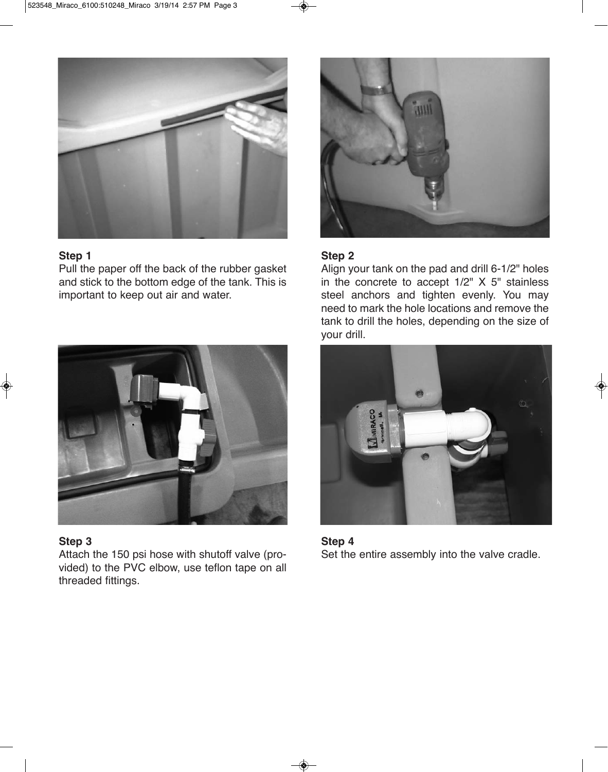

#### **Step 1**

Pull the paper off the back of the rubber gasket and stick to the bottom edge of the tank. This is important to keep out air and water.



#### **Step 3**

Attach the 150 psi hose with shutoff valve (provided) to the PVC elbow, use teflon tape on all threaded fittings.



#### **Step 2**

Align your tank on the pad and drill 6-1/2" holes in the concrete to accept 1/2" X 5" stainless steel anchors and tighten evenly. You may need to mark the hole locations and remove the tank to drill the holes, depending on the size of your drill.



**Step 4** Set the entire assembly into the valve cradle.